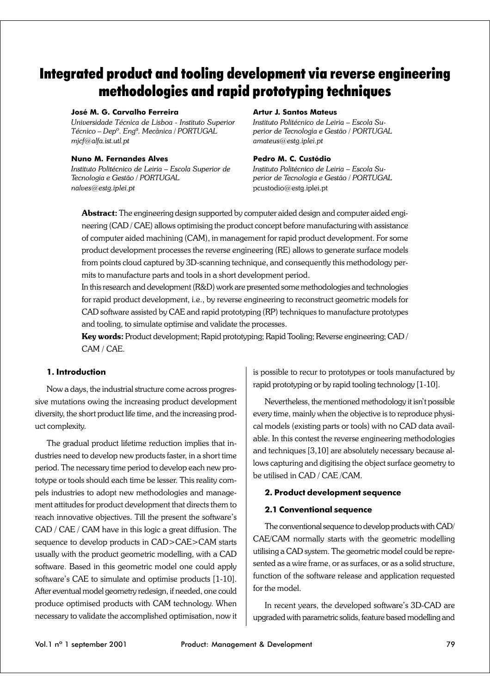# Integrated product and tooling development via reverse engineering methodologies and rapid prototyping techniques

#### **José M. G. Carvalho Ferreira**

*Universidade Técnica de Lisboa - Instituto Superior Técnico – Depº. Engª. Mecânica / PORTUGAL mjcf@alfa.ist.utl.pt*

#### **Nuno M. Fernandes Alves**

*Instituto Politécnico de Leiria – Escola Superior de Tecnologia e Gestão / PORTUGAL nalves@estg.iplei.pt*

#### **Artur J. Santos Mateus**

*Instituto Politécnico de Leiria – Escola Superior de Tecnologia e Gestão / PORTUGAL amateus@estg.iplei.pt*

#### **Pedro M. C. Custódio**

*Instituto Politécnico de Leiria – Escola Superior de Tecnologia e Gestão / PORTUGAL* pcustodio@estg.iplei.pt

**Abstract:** The engineering design supported by computer aided design and computer aided engineering (CAD / CAE) allows optimising the product concept before manufacturing with assistance of computer aided machining (CAM), in management for rapid product development. For some product development processes the reverse engineering (RE) allows to generate surface models from points cloud captured by 3D-scanning technique, and consequently this methodology permits to manufacture parts and tools in a short development period.

In this research and development (R&D) work are presented some methodologies and technologies for rapid product development, i.e., by reverse engineering to reconstruct geometric models for CAD software assisted by CAE and rapid prototyping (RP) techniques to manufacture prototypes and tooling, to simulate optimise and validate the processes.

**Key words:** Product development; Rapid prototyping; Rapid Tooling; Reverse engineering; CAD / CAM / CAE.

#### **1. Introduction**

Now a days, the industrial structure come across progressive mutations owing the increasing product development diversity, the short product life time, and the increasing product complexity.

The gradual product lifetime reduction implies that industries need to develop new products faster, in a short time period. The necessary time period to develop each new prototype or tools should each time be lesser. This reality compels industries to adopt new methodologies and management attitudes for product development that directs them to reach innovative objectives. Till the present the software's CAD / CAE / CAM have in this logic a great diffusion. The sequence to develop products in CAD>CAE>CAM starts usually with the product geometric modelling, with a CAD software. Based in this geometric model one could apply software's CAE to simulate and optimise products [1-10]. After eventual model geometry redesign, if needed, one could produce optimised products with CAM technology. When necessary to validate the accomplished optimisation, now it

is possible to recur to prototypes or tools manufactured by rapid prototyping or by rapid tooling technology [1-10].

Nevertheless, the mentioned methodology it isn't possible every time, mainly when the objective is to reproduce physical models (existing parts or tools) with no CAD data available. In this contest the reverse engineering methodologies and techniques [3,10] are absolutely necessary because allows capturing and digitising the object surface geometry to be utilised in CAD / CAE /CAM.

## **2. Product development sequence**

## **2.1 Conventional sequence**

The conventional sequence to develop products with CAD/ CAE/CAM normally starts with the geometric modelling utilising a CAD system. The geometric model could be represented as a wire frame, or as surfaces, or as a solid structure, function of the software release and application requested for the model.

In recent years, the developed software's 3D-CAD are upgraded with parametric solids, feature based modelling and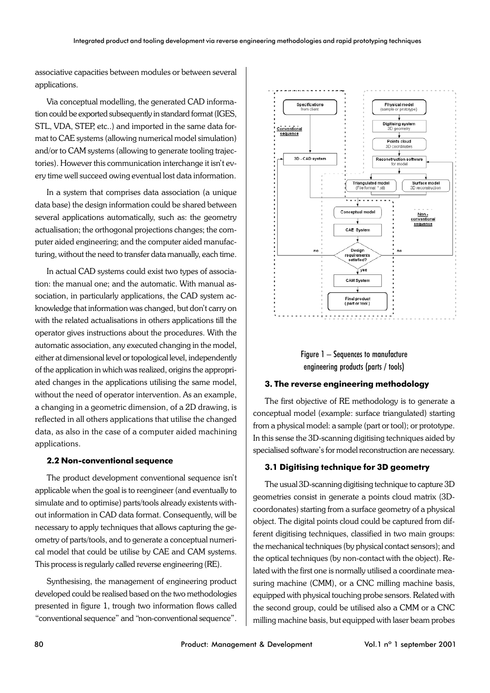associative capacities between modules or between several applications.

Via conceptual modelling, the generated CAD information could be exported subsequently in standard format (IGES, STL, VDA, STEP, etc..) and imported in the same data format to CAE systems (allowing numerical model simulation) and/or to CAM systems (allowing to generate tooling trajectories). However this communication interchange it isn't every time well succeed owing eventual lost data information.

In a system that comprises data association (a unique data base) the design information could be shared between several applications automatically, such as: the geometry actualisation; the orthogonal projections changes; the computer aided engineering; and the computer aided manufacturing, without the need to transfer data manually, each time.

In actual CAD systems could exist two types of association: the manual one; and the automatic. With manual association, in particularly applications, the CAD system acknowledge that information was changed, but don't carry on with the related actualisations in others applications till the operator gives instructions about the procedures. With the automatic association, any executed changing in the model, either at dimensional level or topological level, independently of the application in which was realized, origins the appropriated changes in the applications utilising the same model, without the need of operator intervention. As an example, a changing in a geometric dimension, of a 2D drawing, is reflected in all others applications that utilise the changed data, as also in the case of a computer aided machining applications.

#### **2.2 Non-conventional sequence**

The product development conventional sequence isn't applicable when the goal is to reengineer (and eventually to simulate and to optimise) parts/tools already existents without information in CAD data format. Consequently, will be necessary to apply techniques that allows capturing the geometry of parts/tools, and to generate a conceptual numerical model that could be utilise by CAE and CAM systems. This process is regularly called reverse engineering (RE).

Synthesising, the management of engineering product developed could be realised based on the two methodologies presented in figure 1, trough two information flows called "conventional sequence" and "non-conventional sequence".





## **3. The reverse engineering methodology**

The first objective of RE methodology is to generate a conceptual model (example: surface triangulated) starting from a physical model: a sample (part or tool); or prototype. In this sense the 3D-scanning digitising techniques aided by specialised software's for model reconstruction are necessary.

## **3.1 Digitising technique for 3D geometry**

The usual 3D-scanning digitising technique to capture 3D geometries consist in generate a points cloud matrix (3Dcoordonates) starting from a surface geometry of a physical object. The digital points cloud could be captured from different digitising techniques, classified in two main groups: the mechanical techniques (by physical contact sensors); and the optical techniques (by non-contact with the object). Related with the first one is normally utilised a coordinate measuring machine (CMM), or a CNC milling machine basis, equipped with physical touching probe sensors. Related with the second group, could be utilised also a CMM or a CNC milling machine basis, but equipped with laser beam probes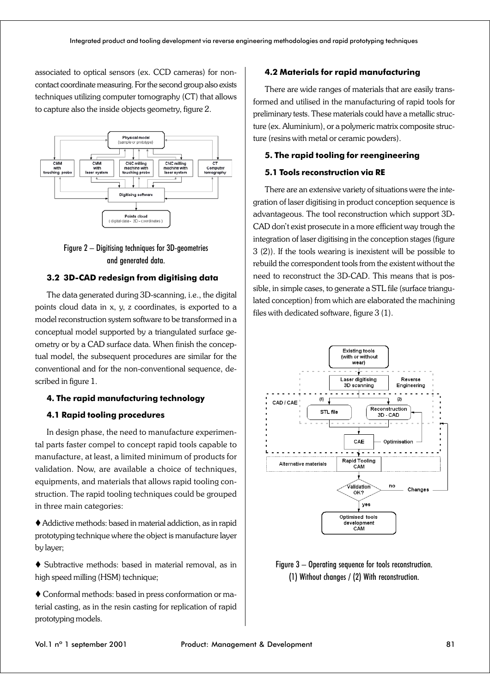associated to optical sensors (ex. CCD cameras) for noncontact coordinate measuring. For the second group also exists techniques utilizing computer tomography (CT) that allows to capture also the inside objects geometry, figure 2.



Figure 2 – Digitising techniques for 3D-geometries and generated data.

## **3.2 3D-CAD redesign from digitising data**

The data generated during 3D-scanning, i.e., the digital points cloud data in x, y, z coordinates, is exported to a model reconstruction system software to be transformed in a conceptual model supported by a triangulated surface geometry or by a CAD surface data. When finish the conceptual model, the subsequent procedures are similar for the conventional and for the non-conventional sequence, described in figure 1.

## **4. The rapid manufacturing technology**

## **4.1 Rapid tooling procedures**

In design phase, the need to manufacture experimental parts faster compel to concept rapid tools capable to manufacture, at least, a limited minimum of products for validation. Now, are available a choice of techniques, equipments, and materials that allows rapid tooling construction. The rapid tooling techniques could be grouped in three main categories:

 Addictive methods: based in material addiction, as in rapid prototyping technique where the object is manufacture layer by layer;

 Subtractive methods: based in material removal, as in high speed milling (HSM) technique;

 Conformal methods: based in press conformation or material casting, as in the resin casting for replication of rapid prototyping models.

## **4.2 Materials for rapid manufacturing**

There are wide ranges of materials that are easily transformed and utilised in the manufacturing of rapid tools for preliminary tests. These materials could have a metallic structure (ex. Aluminium), or a polymeric matrix composite structure (resins with metal or ceramic powders).

## **5. The rapid tooling for reengineering**

## **5.1 Tools reconstruction via RE**

There are an extensive variety of situations were the integration of laser digitising in product conception sequence is advantageous. The tool reconstruction which support 3D-CAD don't exist prosecute in a more efficient way trough the integration of laser digitising in the conception stages (figure 3 (2)). If the tools wearing is inexistent will be possible to rebuild the correspondent tools from the existent without the need to reconstruct the 3D-CAD. This means that is possible, in simple cases, to generate a STL file (surface triangulated conception) from which are elaborated the machining files with dedicated software, figure 3 (1).



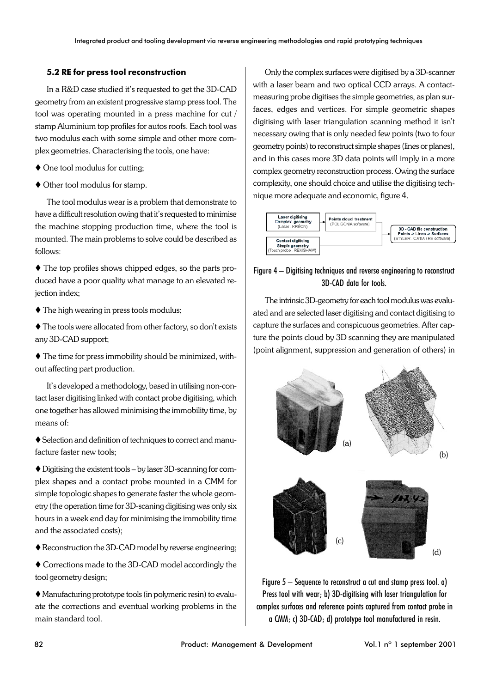## **5.2 RE for press tool reconstruction**

In a R&D case studied it's requested to get the 3D-CAD geometry from an existent progressive stamp press tool. The tool was operating mounted in a press machine for cut / stamp Aluminium top profiles for autos roofs. Each tool was two modulus each with some simple and other more complex geometries. Characterising the tools, one have:

- ◆ One tool modulus for cutting;
- Other tool modulus for stamp.

The tool modulus wear is a problem that demonstrate to have a difficult resolution owing that it's requested to minimise the machine stopping production time, where the tool is mounted. The main problems to solve could be described as follows:

 The top profiles shows chipped edges, so the parts produced have a poor quality what manage to an elevated rejection index;

- The high wearing in press tools modulus;
- The tools were allocated from other factory, so don't exists any 3D-CAD support;

 The time for press immobility should be minimized, without affecting part production.

It's developed a methodology, based in utilising non-contact laser digitising linked with contact probe digitising, which one together has allowed minimising the immobility time, by means of:

 Selection and definition of techniques to correct and manufacture faster new tools;

 Digitising the existent tools – by laser 3D-scanning for complex shapes and a contact probe mounted in a CMM for simple topologic shapes to generate faster the whole geometry (the operation time for 3D-scaning digitising was only six hours in a week end day for minimising the immobility time and the associated costs);

Reconstruction the 3D-CAD model by reverse engineering;

 Corrections made to the 3D-CAD model accordingly the tool geometry design;

 Manufacturing prototype tools (in polymeric resin) to evaluate the corrections and eventual working problems in the main standard tool.

Only the complex surfaces were digitised by a 3D-scanner with a laser beam and two optical CCD arrays. A contactmeasuring probe digitises the simple geometries, as plan surfaces, edges and vertices. For simple geometric shapes digitising with laser triangulation scanning method it isn't necessary owing that is only needed few points (two to four geometry points) to reconstruct simple shapes (lines or planes), and in this cases more 3D data points will imply in a more complex geometry reconstruction process. Owing the surface complexity, one should choice and utilise the digitising technique more adequate and economic, figure 4.



# Figure 4 – Digitising techniques and reverse engineering to reconstruct 3D-CAD data for tools.

The intrinsic 3D-geometry for each tool modulus was evaluated and are selected laser digitising and contact digitising to capture the surfaces and conspicuous geometries. After capture the points cloud by 3D scanning they are manipulated (point alignment, suppression and generation of others) in



Figure 5 – Sequence to reconstruct a cut and stamp press tool. a) Press tool with wear; b) 3D-digitising with laser triangulation for complex surfaces and reference points captured from contact probe in a CMM; c) 3D-CAD; d) prototype tool manufactured in resin.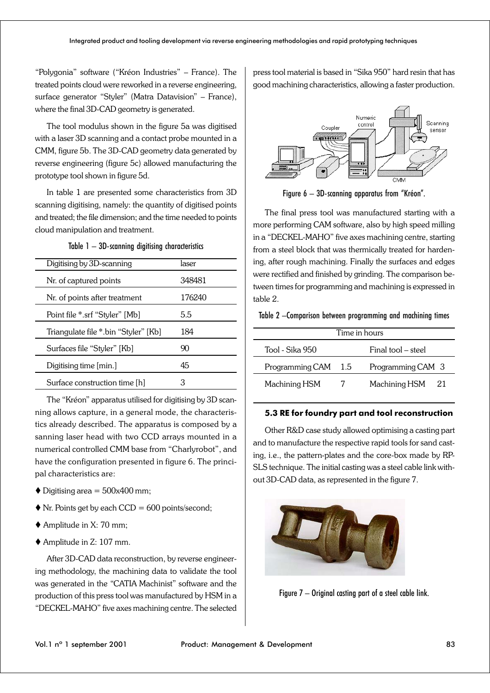"Polygonia" software ("Kréon Industries" – France). The treated points cloud were reworked in a reverse engineering, surface generator "Styler" (Matra Datavision" – France), where the final 3D-CAD geometry is generated.

The tool modulus shown in the figure 5a was digitised with a laser 3D scanning and a contact probe mounted in a CMM, figure 5b. The 3D-CAD geometry data generated by reverse engineering (figure 5c) allowed manufacturing the prototype tool shown in figure 5d.

In table 1 are presented some characteristics from 3D scanning digitising, namely: the quantity of digitised points and treated; the file dimension; and the time needed to points cloud manipulation and treatment.

| Table 1 – 3D-scanning digitising characteristics |  |  |
|--------------------------------------------------|--|--|
|--------------------------------------------------|--|--|

| Digitising by 3D-scanning            | laser  |
|--------------------------------------|--------|
| Nr. of captured points               | 348481 |
| Nr. of points after treatment        | 176240 |
| Point file *.srf "Styler" [Mb]       | 5.5    |
| Triangulate file *.bin "Styler" [Kb] | 184    |
| Surfaces file "Styler" [Kb]          | 90     |
| Digitising time [min.]               | 45     |
| Surface construction time [h]        | 3      |

The "Kréon" apparatus utilised for digitising by 3D scanning allows capture, in a general mode, the characteristics already described. The apparatus is composed by a sanning laser head with two CCD arrays mounted in a numerical controlled CMM base from "Charlyrobot", and have the configuration presented in figure 6. The principal characteristics are:

- $\blacklozenge$  Digitising area = 500x400 mm;
- $\blacklozenge$  Nr. Points get by each CCD = 600 points/second;
- Amplitude in X: 70 mm;
- ◆ Amplitude in Z: 107 mm.

After 3D-CAD data reconstruction, by reverse engineering methodology, the machining data to validate the tool was generated in the "CATIA Machinist" software and the production of this press tool was manufactured by HSM in a "DECKEL-MAHO" five axes machining centre. The selected

press tool material is based in "Sika 950" hard resin that has good machining characteristics, allowing a faster production.



Figure 6 – 3D-scanning apparatus from "Kréon".

The final press tool was manufactured starting with a more performing CAM software, also by high speed milling in a "DECKEL-MAHO" five axes machining centre, starting from a steel block that was thermically treated for hardening, after rough machining. Finally the surfaces and edges were rectified and finished by grinding. The comparison between times for programming and machining is expressed in table 2.

#### Table 2 –Comparison between programming and machining times

| Time in hours   |     |                     |  |
|-----------------|-----|---------------------|--|
| Tool - Sika 950 |     | Final tool – steel  |  |
| Programming CAM | 1.5 | Programming CAM 3   |  |
| Machining HSM   |     | Machining HSM<br>21 |  |

## **5.3 RE for foundry part and tool reconstruction**

Other R&D case study allowed optimising a casting part and to manufacture the respective rapid tools for sand casting, i.e., the pattern-plates and the core-box made by RP-SLS technique. The initial casting was a steel cable link without 3D-CAD data, as represented in the figure 7.



Figure 7 – Original casting part of a steel cable link.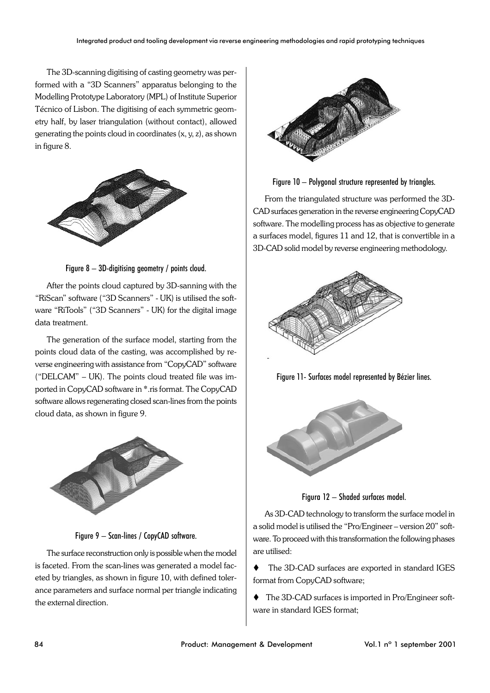The 3D-scanning digitising of casting geometry was performed with a "3D Scanners" apparatus belonging to the Modelling Prototype Laboratory (MPL) of Institute Superior Técnico of Lisbon. The digitising of each symmetric geometry half, by laser triangulation (without contact), allowed generating the points cloud in coordinates (x, y, z), as shown in figure 8.



Figure 8 – 3D-digitising geometry / points cloud.

After the points cloud captured by 3D-sanning with the "RiScan" software ("3D Scanners" - UK) is utilised the software "RiTools" ("3D Scanners" - UK) for the digital image data treatment.

The generation of the surface model, starting from the points cloud data of the casting, was accomplished by reverse engineering with assistance from "CopyCAD" software ("DELCAM" – UK). The points cloud treated file was imported in CopyCAD software in \*.ris format. The CopyCAD software allows regenerating closed scan-lines from the points cloud data, as shown in figure 9.



Figure 9 – Scan-lines / CopyCAD software.

The surface reconstruction only is possible when the model is faceted. From the scan-lines was generated a model faceted by triangles, as shown in figure 10, with defined tolerance parameters and surface normal per triangle indicating the external direction.



Figure 10 – Polygonal structure represented by triangles.

From the triangulated structure was performed the 3D-CAD surfaces generation in the reverse engineering CopyCAD software. The modelling process has as objective to generate a surfaces model, figures 11 and 12, that is convertible in a 3D-CAD solid model by reverse engineering methodology.



Figure 11- Surfaces model represented by Bézier lines.



Figura 12 – Shaded surfaces model.

As 3D-CAD technology to transform the surface model in a solid model is utilised the "Pro/Engineer – version 20" software. To proceed with this transformation the following phases are utilised:

- The 3D-CAD surfaces are exported in standard IGES format from CopyCAD software;
- The 3D-CAD surfaces is imported in Pro/Engineer software in standard IGES format;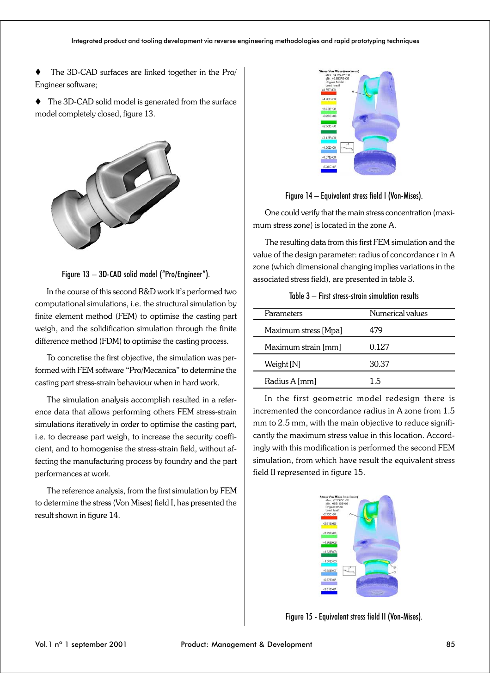The 3D-CAD surfaces are linked together in the Pro/ Engineer software;

◆ The 3D-CAD solid model is generated from the surface model completely closed, figure 13.



Figure 13 – 3D-CAD solid model ("Pro/Engineer").

In the course of this second R&D work it's performed two computational simulations, i.e. the structural simulation by finite element method (FEM) to optimise the casting part weigh, and the solidification simulation through the finite difference method (FDM) to optimise the casting process.

To concretise the first objective, the simulation was performed with FEM software "Pro/Mecanica" to determine the casting part stress-strain behaviour when in hard work.

The simulation analysis accomplish resulted in a reference data that allows performing others FEM stress-strain simulations iteratively in order to optimise the casting part, i.e. to decrease part weigh, to increase the security coefficient, and to homogenise the stress-strain field, without affecting the manufacturing process by foundry and the part performances at work.

The reference analysis, from the first simulation by FEM to determine the stress (Von Mises) field I, has presented the result shown in figure 14.



Figure 14 – Equivalent stress field I (Von-Mises).

One could verify that the main stress concentration (maximum stress zone) is located in the zone A.

The resulting data from this first FEM simulation and the value of the design parameter: radius of concordance r in A zone (which dimensional changing implies variations in the associated stress field), are presented in table 3.

| Parameters           | Numerical values |
|----------------------|------------------|
| Maximum stress [Mpa] | 479              |
| Maximum strain [mm]  | 0.127            |
| Weight [N]           | 30.37            |
| Radius A [mm]        | 15               |

In the first geometric model redesign there is incremented the concordance radius in A zone from 1.5 mm to 2.5 mm, with the main objective to reduce significantly the maximum stress value in this location. Accordingly with this modification is performed the second FEM simulation, from which have result the equivalent stress field II represented in figure 15.



Figure 15 - Equivalent stress field II (Von-Mises).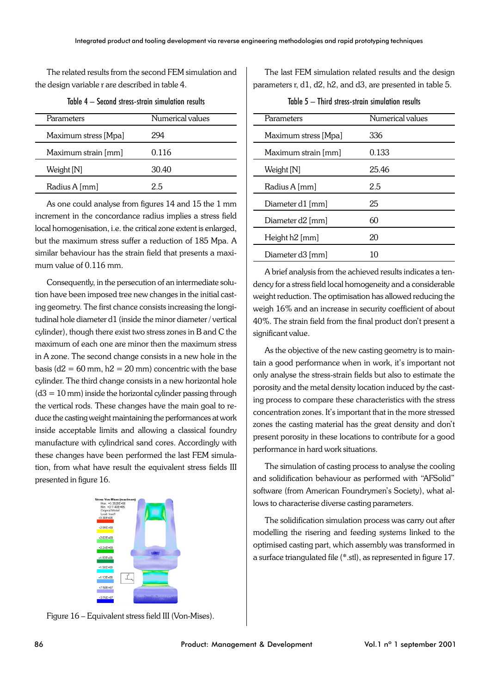The related results from the second FEM simulation and the design variable r are described in table 4.

| Parameters           | Numerical values |
|----------------------|------------------|
| Maximum stress [Mpa] | 994              |
| Maximum strain [mm]  | 0.116            |
| Weight [N]           | 30.40            |
| Radius A [mm]        | 25               |

Table 4 – Second stress-strain simulation results

As one could analyse from figures 14 and 15 the 1 mm increment in the concordance radius implies a stress field local homogenisation, i.e. the critical zone extent is enlarged, but the maximum stress suffer a reduction of 185 Mpa. A similar behaviour has the strain field that presents a maximum value of 0.116 mm.

Consequently, in the persecution of an intermediate solution have been imposed tree new changes in the initial casting geometry. The first chance consists increasing the longitudinal hole diameter d1 (inside the minor diameter / vertical cylinder), though there exist two stress zones in B and C the maximum of each one are minor then the maximum stress in A zone. The second change consists in a new hole in the basis ( $d2 = 60$  mm,  $h2 = 20$  mm) concentric with the base cylinder. The third change consists in a new horizontal hole  $(d3 = 10$  mm) inside the horizontal cylinder passing through the vertical rods. These changes have the main goal to reduce the casting weight maintaining the performances at work inside acceptable limits and allowing a classical foundry manufacture with cylindrical sand cores. Accordingly with these changes have been performed the last FEM simulation, from what have result the equivalent stress fields III presented in figure 16.



The last FEM simulation related results and the design parameters r, d1, d2, h2, and d3, are presented in table 5.

Table 5 – Third stress-strain simulation results

| Parameters           | Numerical values |
|----------------------|------------------|
| Maximum stress [Mpa] | 336              |
| Maximum strain [mm]  | 0.133            |
| Weight [N]           | 25.46            |
| Radius A [mm]        | 2.5              |
| Diameter d1 [mm]     | 25               |
| Diameter d2 [mm]     | 60               |
| Height h2 [mm]       | 20               |
| Diameter d3 [mm]     | 10               |
|                      |                  |

A brief analysis from the achieved results indicates a tendency for a stress field local homogeneity and a considerable weight reduction. The optimisation has allowed reducing the weigh 16% and an increase in security coefficient of about 40%. The strain field from the final product don't present a significant value.

As the objective of the new casting geometry is to maintain a good performance when in work, it's important not only analyse the stress-strain fields but also to estimate the porosity and the metal density location induced by the casting process to compare these characteristics with the stress concentration zones. It's important that in the more stressed zones the casting material has the great density and don't present porosity in these locations to contribute for a good performance in hard work situations.

The simulation of casting process to analyse the cooling and solidification behaviour as performed with "AFSolid" software (from American Foundrymen's Society), what allows to characterise diverse casting parameters.

The solidification simulation process was carry out after modelling the risering and feeding systems linked to the optimised casting part, which assembly was transformed in a surface triangulated file (\*.stl), as represented in figure 17.

Figure 16 – Equivalent stress field III (Von-Mises).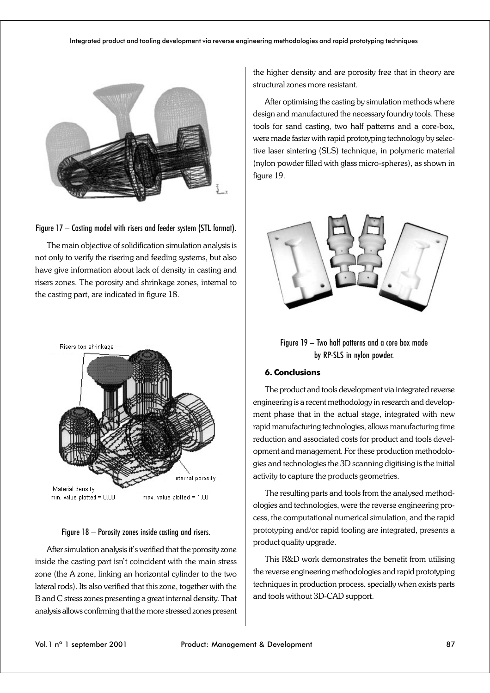#### Integrated product and tooling development via reverse engineering methodologies and rapid prototyping techniques





The main objective of solidification simulation analysis is not only to verify the risering and feeding systems, but also have give information about lack of density in casting and risers zones. The porosity and shrinkage zones, internal to the casting part, are indicated in figure 18.



#### Figure 18 – Porosity zones inside casting and risers.

After simulation analysis it's verified that the porosity zone inside the casting part isn't coincident with the main stress zone (the A zone, linking an horizontal cylinder to the two lateral rods). Its also verified that this zone, together with the B and C stress zones presenting a great internal density. That analysis allows confirming that the more stressed zones present

the higher density and are porosity free that in theory are structural zones more resistant.

After optimising the casting by simulation methods where design and manufactured the necessary foundry tools. These tools for sand casting, two half patterns and a core-box, were made faster with rapid prototyping technology by selective laser sintering (SLS) technique, in polymeric material (nylon powder filled with glass micro-spheres), as shown in figure 19.



Figure 19 – Two half patterns and a core box made by RP-SLS in nylon powder.

## **6. Conclusions**

The product and tools development via integrated reverse engineering is a recent methodology in research and development phase that in the actual stage, integrated with new rapid manufacturing technologies, allows manufacturing time reduction and associated costs for product and tools development and management. For these production methodologies and technologies the 3D scanning digitising is the initial activity to capture the products geometries.

The resulting parts and tools from the analysed methodologies and technologies, were the reverse engineering process, the computational numerical simulation, and the rapid prototyping and/or rapid tooling are integrated, presents a product quality upgrade.

This R&D work demonstrates the benefit from utilising the reverse engineering methodologies and rapid prototyping techniques in production process, specially when exists parts and tools without 3D-CAD support.